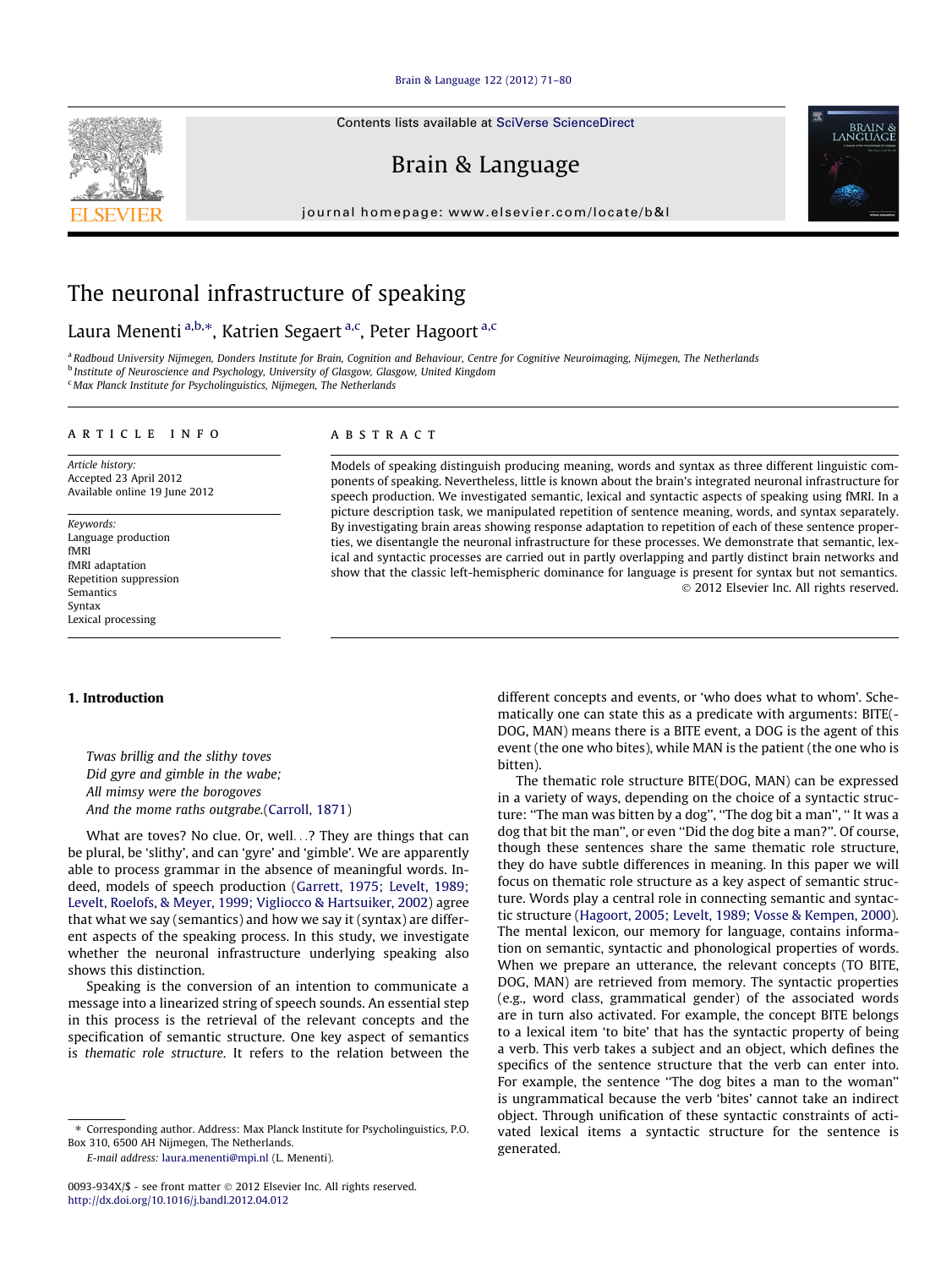### [Brain & Language 122 \(2012\) 71–80](http://dx.doi.org/10.1016/j.bandl.2012.04.012)

Contents lists available at [SciVerse ScienceDirect](http://www.sciencedirect.com/science/journal/0093934X)

# Brain & Language

journal homepage: [www.elsevier.com/locate/b&l](http://www.elsevier.com/locate/b&l)



# The neuronal infrastructure of speaking

# Laura Menenti <sup>a,b,</sup>\*, Katrien Segaert <sup>a,c</sup>, Peter Hagoort <sup>a,c</sup>

a Radboud University Nijmegen, Donders Institute for Brain, Cognition and Behaviour, Centre for Cognitive Neuroimaging, Nijmegen, The Netherlands **b** Institute of Neuroscience and Psychology, University of Glasgow, Glasgow, United Kingdom <sup>c</sup> Max Planck Institute for Psycholinguistics, Nijmegen, The Netherlands

#### article info

Article history: Accepted 23 April 2012 Available online 19 June 2012

Keywords: Language production fMRI fMRI adaptation Repetition suppression Semantics Syntax Lexical processing

#### **ABSTRACT**

Models of speaking distinguish producing meaning, words and syntax as three different linguistic components of speaking. Nevertheless, little is known about the brain's integrated neuronal infrastructure for speech production. We investigated semantic, lexical and syntactic aspects of speaking using fMRI. In a picture description task, we manipulated repetition of sentence meaning, words, and syntax separately. By investigating brain areas showing response adaptation to repetition of each of these sentence properties, we disentangle the neuronal infrastructure for these processes. We demonstrate that semantic, lexical and syntactic processes are carried out in partly overlapping and partly distinct brain networks and show that the classic left-hemispheric dominance for language is present for syntax but not semantics. - 2012 Elsevier Inc. All rights reserved.

#### 1. Introduction

Twas brillig and the slithy toves Did gyre and gimble in the wabe; All mimsy were the borogoves And the mome raths outgrabe.[\(Carroll, 1871\)](#page-9-0)

What are toves? No clue. Or, well...? They are things that can be plural, be 'slithy', and can 'gyre' and 'gimble'. We are apparently able to process grammar in the absence of meaningful words. Indeed, models of speech production ([Garrett, 1975; Levelt, 1989;](#page-9-0) [Levelt, Roelofs, & Meyer, 1999; Vigliocco & Hartsuiker, 2002\)](#page-9-0) agree that what we say (semantics) and how we say it (syntax) are different aspects of the speaking process. In this study, we investigate whether the neuronal infrastructure underlying speaking also shows this distinction.

Speaking is the conversion of an intention to communicate a message into a linearized string of speech sounds. An essential step in this process is the retrieval of the relevant concepts and the specification of semantic structure. One key aspect of semantics is thematic role structure. It refers to the relation between the

E-mail address: [laura.menenti@mpi.nl](mailto:laura.menenti@mpi.nl) (L. Menenti).

different concepts and events, or 'who does what to whom'. Schematically one can state this as a predicate with arguments: BITE(- DOG, MAN) means there is a BITE event, a DOG is the agent of this event (the one who bites), while MAN is the patient (the one who is bitten).

The thematic role structure BITE(DOG, MAN) can be expressed in a variety of ways, depending on the choice of a syntactic structure: ''The man was bitten by a dog'', ''The dog bit a man'', '' It was a dog that bit the man'', or even ''Did the dog bite a man?''. Of course, though these sentences share the same thematic role structure, they do have subtle differences in meaning. In this paper we will focus on thematic role structure as a key aspect of semantic structure. Words play a central role in connecting semantic and syntactic structure ([Hagoort, 2005; Levelt, 1989; Vosse & Kempen, 2000\)](#page-9-0). The mental lexicon, our memory for language, contains information on semantic, syntactic and phonological properties of words. When we prepare an utterance, the relevant concepts (TO BITE, DOG, MAN) are retrieved from memory. The syntactic properties (e.g., word class, grammatical gender) of the associated words are in turn also activated. For example, the concept BITE belongs to a lexical item 'to bite' that has the syntactic property of being a verb. This verb takes a subject and an object, which defines the specifics of the sentence structure that the verb can enter into. For example, the sentence ''The dog bites a man to the woman'' is ungrammatical because the verb 'bites' cannot take an indirect object. Through unification of these syntactic constraints of activated lexical items a syntactic structure for the sentence is generated.



<sup>⇑</sup> Corresponding author. Address: Max Planck Institute for Psycholinguistics, P.O. Box 310, 6500 AH Nijmegen, The Netherlands.

<sup>0093-934</sup>X/\$ - see front matter © 2012 Elsevier Inc. All rights reserved. <http://dx.doi.org/10.1016/j.bandl.2012.04.012>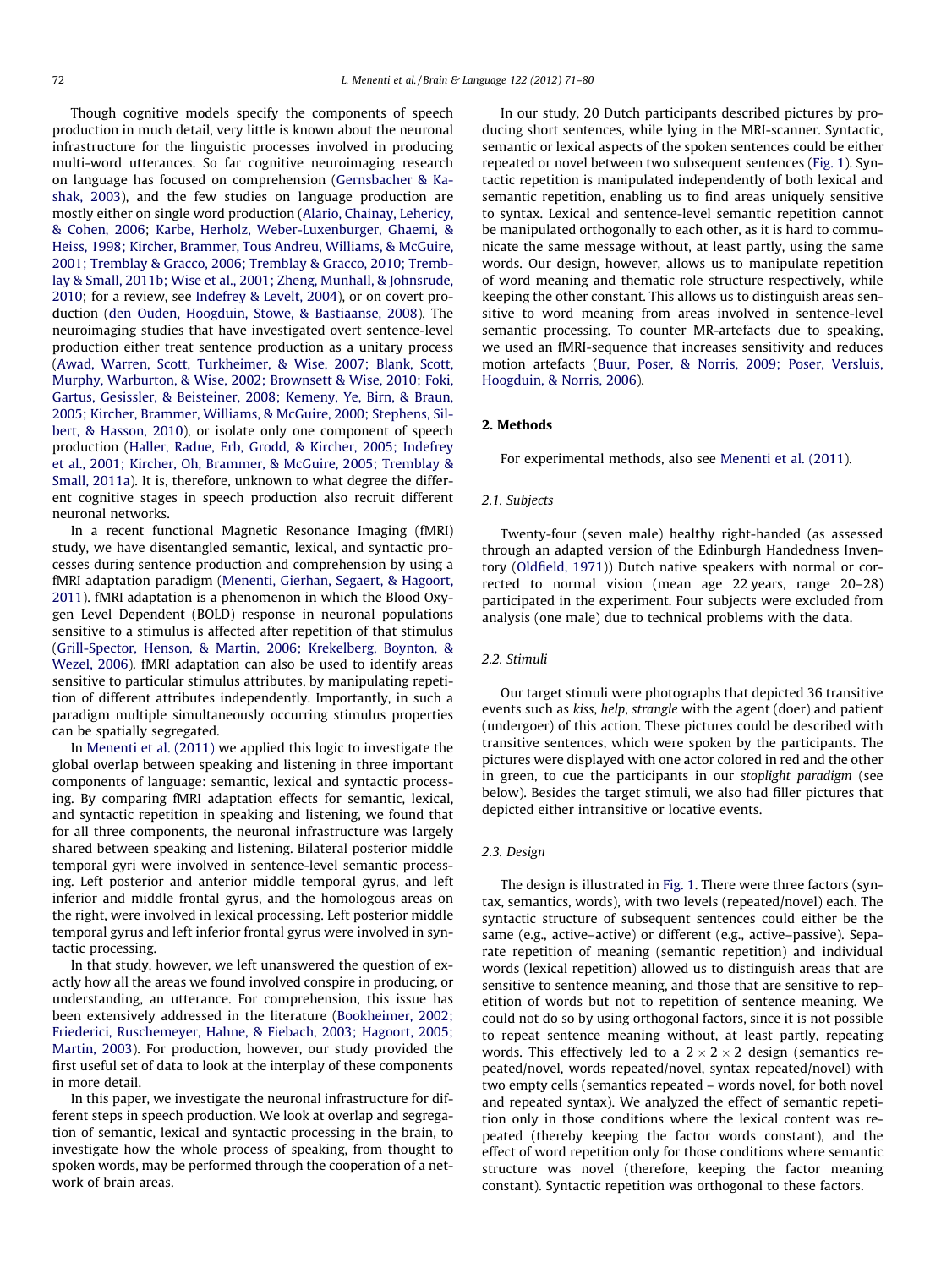<span id="page-1-0"></span>Though cognitive models specify the components of speech production in much detail, very little is known about the neuronal infrastructure for the linguistic processes involved in producing multi-word utterances. So far cognitive neuroimaging research on language has focused on comprehension ([Gernsbacher & Ka](#page-9-0)[shak, 2003\)](#page-9-0), and the few studies on language production are mostly either on single word production [\(Alario, Chainay, Lehericy,](#page-8-0) [& Cohen, 2006;](#page-8-0) [Karbe, Herholz, Weber-Luxenburger, Ghaemi, &](#page-9-0) [Heiss, 1998; Kircher, Brammer, Tous Andreu, Williams, & McGuire,](#page-9-0) [2001; Tremblay & Gracco, 2006; Tremblay & Gracco, 2010; Tremb](#page-9-0)[lay & Small, 2011b; Wise et al., 2001; Zheng, Munhall, & Johnsrude,](#page-9-0) [2010;](#page-9-0) for a review, see [Indefrey & Levelt, 2004](#page-9-0)), or on covert production [\(den Ouden, Hoogduin, Stowe, & Bastiaanse, 2008](#page-9-0)). The neuroimaging studies that have investigated overt sentence-level production either treat sentence production as a unitary process ([Awad, Warren, Scott, Turkheimer, & Wise, 2007; Blank, Scott,](#page-8-0) [Murphy, Warburton, & Wise, 2002; Brownsett & Wise, 2010; Foki,](#page-8-0) [Gartus, Gesissler, & Beisteiner, 2008; Kemeny, Ye, Birn, & Braun,](#page-8-0) [2005; Kircher, Brammer, Williams, & McGuire, 2000; Stephens, Sil](#page-8-0)[bert, & Hasson, 2010\)](#page-8-0), or isolate only one component of speech production ([Haller, Radue, Erb, Grodd, & Kircher, 2005; Indefrey](#page-9-0) [et al., 2001; Kircher, Oh, Brammer, & McGuire, 2005; Tremblay &](#page-9-0) [Small, 2011a](#page-9-0)). It is, therefore, unknown to what degree the different cognitive stages in speech production also recruit different neuronal networks.

In a recent functional Magnetic Resonance Imaging (fMRI) study, we have disentangled semantic, lexical, and syntactic processes during sentence production and comprehension by using a fMRI adaptation paradigm [\(Menenti, Gierhan, Segaert, & Hagoort,](#page-9-0) [2011\)](#page-9-0). fMRI adaptation is a phenomenon in which the Blood Oxygen Level Dependent (BOLD) response in neuronal populations sensitive to a stimulus is affected after repetition of that stimulus ([Grill-Spector, Henson, & Martin, 2006; Krekelberg, Boynton, &](#page-9-0) [Wezel, 2006](#page-9-0)). fMRI adaptation can also be used to identify areas sensitive to particular stimulus attributes, by manipulating repetition of different attributes independently. Importantly, in such a paradigm multiple simultaneously occurring stimulus properties can be spatially segregated.

In [Menenti et al. \(2011\)](#page-9-0) we applied this logic to investigate the global overlap between speaking and listening in three important components of language: semantic, lexical and syntactic processing. By comparing fMRI adaptation effects for semantic, lexical, and syntactic repetition in speaking and listening, we found that for all three components, the neuronal infrastructure was largely shared between speaking and listening. Bilateral posterior middle temporal gyri were involved in sentence-level semantic processing. Left posterior and anterior middle temporal gyrus, and left inferior and middle frontal gyrus, and the homologous areas on the right, were involved in lexical processing. Left posterior middle temporal gyrus and left inferior frontal gyrus were involved in syntactic processing.

In that study, however, we left unanswered the question of exactly how all the areas we found involved conspire in producing, or understanding, an utterance. For comprehension, this issue has been extensively addressed in the literature [\(Bookheimer, 2002;](#page-8-0) [Friederici, Ruschemeyer, Hahne, & Fiebach, 2003; Hagoort, 2005;](#page-8-0) [Martin, 2003\)](#page-8-0). For production, however, our study provided the first useful set of data to look at the interplay of these components in more detail.

In this paper, we investigate the neuronal infrastructure for different steps in speech production. We look at overlap and segregation of semantic, lexical and syntactic processing in the brain, to investigate how the whole process of speaking, from thought to spoken words, may be performed through the cooperation of a network of brain areas.

In our study, 20 Dutch participants described pictures by producing short sentences, while lying in the MRI-scanner. Syntactic, semantic or lexical aspects of the spoken sentences could be either repeated or novel between two subsequent sentences ([Fig. 1\)](#page-3-0). Syntactic repetition is manipulated independently of both lexical and semantic repetition, enabling us to find areas uniquely sensitive to syntax. Lexical and sentence-level semantic repetition cannot be manipulated orthogonally to each other, as it is hard to communicate the same message without, at least partly, using the same words. Our design, however, allows us to manipulate repetition of word meaning and thematic role structure respectively, while keeping the other constant. This allows us to distinguish areas sensitive to word meaning from areas involved in sentence-level semantic processing. To counter MR-artefacts due to speaking, we used an fMRI-sequence that increases sensitivity and reduces motion artefacts [\(Buur, Poser, & Norris, 2009; Poser, Versluis,](#page-9-0) [Hoogduin, & Norris, 2006](#page-9-0)).

#### 2. Methods

For experimental methods, also see [Menenti et al. \(2011](#page-9-0)).

#### 2.1. Subjects

Twenty-four (seven male) healthy right-handed (as assessed through an adapted version of the Edinburgh Handedness Inventory [\(Oldfield, 1971\)](#page-9-0)) Dutch native speakers with normal or corrected to normal vision (mean age 22 years, range 20–28) participated in the experiment. Four subjects were excluded from analysis (one male) due to technical problems with the data.

#### 2.2. Stimuli

Our target stimuli were photographs that depicted 36 transitive events such as kiss, help, strangle with the agent (doer) and patient (undergoer) of this action. These pictures could be described with transitive sentences, which were spoken by the participants. The pictures were displayed with one actor colored in red and the other in green, to cue the participants in our stoplight paradigm (see below). Besides the target stimuli, we also had filler pictures that depicted either intransitive or locative events.

# 2.3. Design

The design is illustrated in [Fig. 1.](#page-3-0) There were three factors (syntax, semantics, words), with two levels (repeated/novel) each. The syntactic structure of subsequent sentences could either be the same (e.g., active–active) or different (e.g., active–passive). Separate repetition of meaning (semantic repetition) and individual words (lexical repetition) allowed us to distinguish areas that are sensitive to sentence meaning, and those that are sensitive to repetition of words but not to repetition of sentence meaning. We could not do so by using orthogonal factors, since it is not possible to repeat sentence meaning without, at least partly, repeating words. This effectively led to a  $2 \times 2 \times 2$  design (semantics repeated/novel, words repeated/novel, syntax repeated/novel) with two empty cells (semantics repeated – words novel, for both novel and repeated syntax). We analyzed the effect of semantic repetition only in those conditions where the lexical content was repeated (thereby keeping the factor words constant), and the effect of word repetition only for those conditions where semantic structure was novel (therefore, keeping the factor meaning constant). Syntactic repetition was orthogonal to these factors.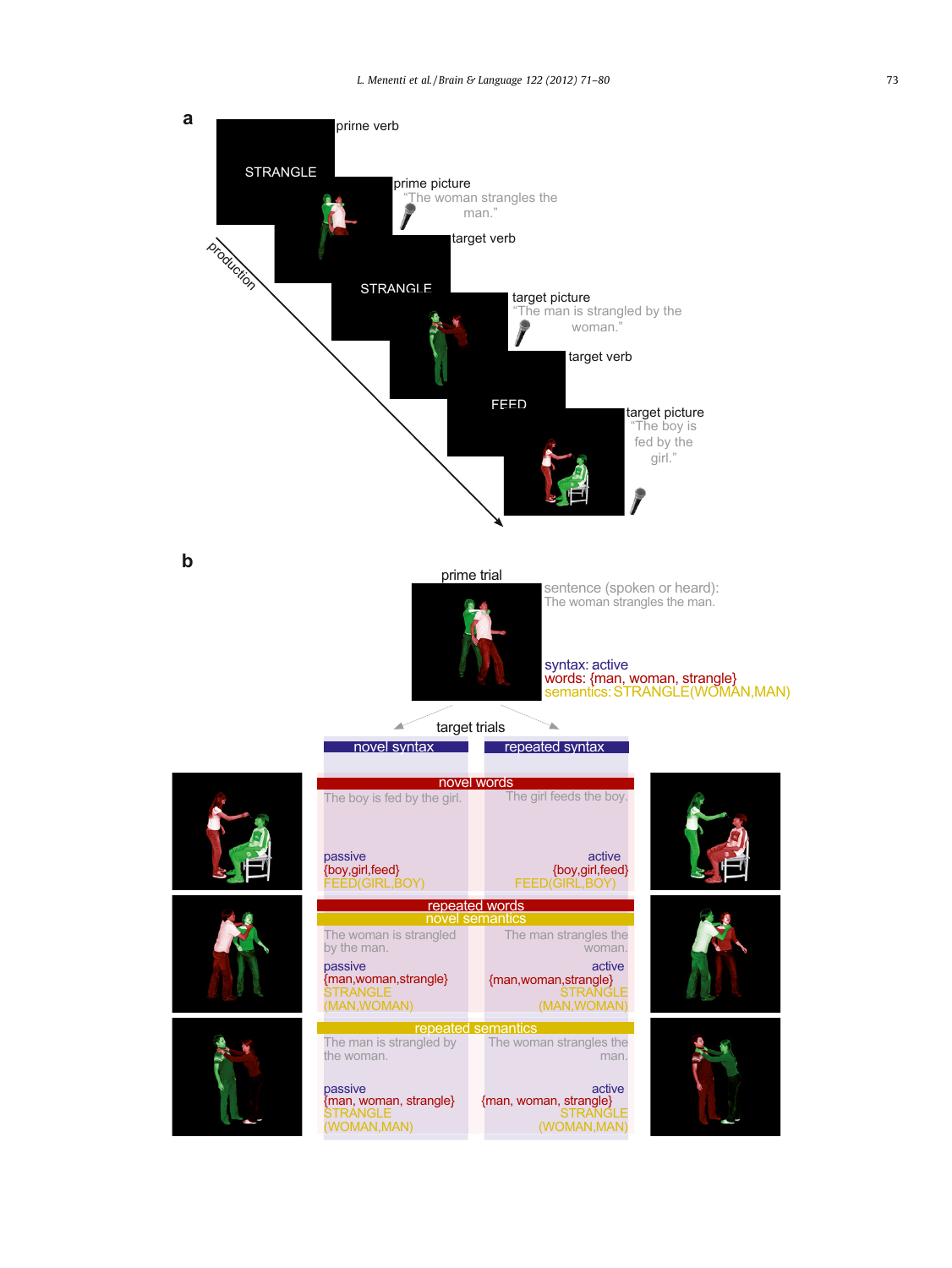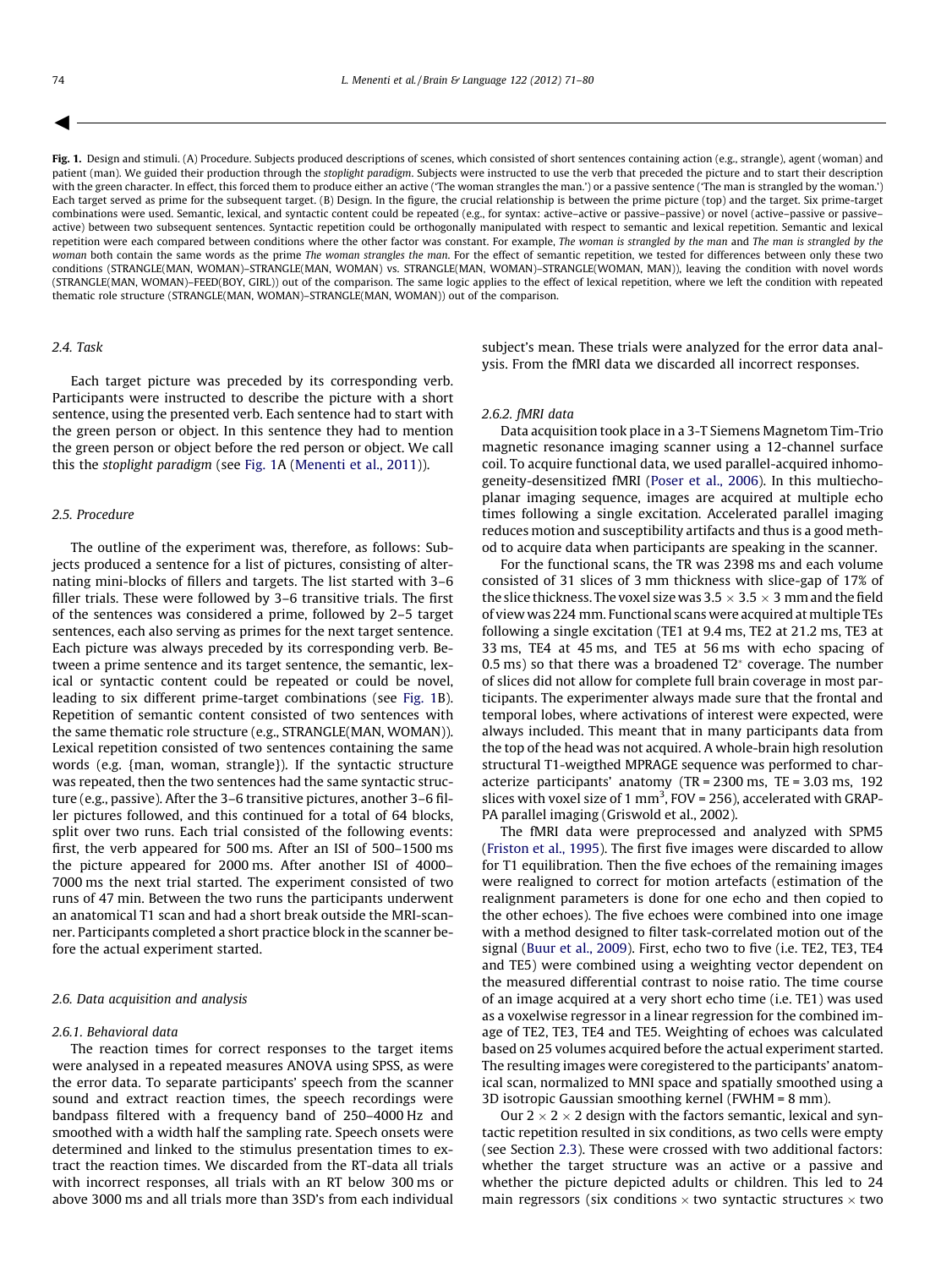<span id="page-3-0"></span> $\blacktriangleleft$ 

Fig. 1. Design and stimuli. (A) Procedure. Subjects produced descriptions of scenes, which consisted of short sentences containing action (e.g., strangle), agent (woman) and patient (man). We guided their production through the stoplight paradigm. Subjects were instructed to use the verb that preceded the picture and to start their description with the green character. In effect, this forced them to produce either an active (The woman strangles the man.') or a passive sentence (The man is strangled by the woman.') Each target served as prime for the subsequent target. (B) Design. In the figure, the crucial relationship is between the prime picture (top) and the target. Six prime-target combinations were used. Semantic, lexical, and syntactic content could be repeated (e.g., for syntax: active-active or passive) or novel (active-passive or passive-passive) active) between two subsequent sentences. Syntactic repetition could be orthogonally manipulated with respect to semantic and lexical repetition. Semantic and lexical repetition were each compared between conditions where the other factor was constant. For example, The woman is strangled by the man and The man is strangled by the woman both contain the same words as the prime The woman strangles the man. For the effect of semantic repetition, we tested for differences between only these two conditions (STRANGLE(MAN, WOMAN)–STRANGLE(MAN, WOMAN) vs. STRANGLE(MAN, WOMAN)–STRANGLE(WOMAN, MAN)), leaving the condition with novel words (STRANGLE(MAN, WOMAN)–FEED(BOY, GIRL)) out of the comparison. The same logic applies to the effect of lexical repetition, where we left the condition with repeated thematic role structure (STRANGLE(MAN, WOMAN)–STRANGLE(MAN, WOMAN)) out of the comparison.

#### 2.4. Task

Each target picture was preceded by its corresponding verb. Participants were instructed to describe the picture with a short sentence, using the presented verb. Each sentence had to start with the green person or object. In this sentence they had to mention the green person or object before the red person or object. We call this the stoplight paradigm (see Fig. 1A ([Menenti et al., 2011](#page-9-0))).

#### 2.5. Procedure

The outline of the experiment was, therefore, as follows: Subjects produced a sentence for a list of pictures, consisting of alternating mini-blocks of fillers and targets. The list started with 3–6 filler trials. These were followed by 3–6 transitive trials. The first of the sentences was considered a prime, followed by 2–5 target sentences, each also serving as primes for the next target sentence. Each picture was always preceded by its corresponding verb. Between a prime sentence and its target sentence, the semantic, lexical or syntactic content could be repeated or could be novel, leading to six different prime-target combinations (see Fig. 1B). Repetition of semantic content consisted of two sentences with the same thematic role structure (e.g., STRANGLE(MAN, WOMAN)). Lexical repetition consisted of two sentences containing the same words (e.g. {man, woman, strangle}). If the syntactic structure was repeated, then the two sentences had the same syntactic structure (e.g., passive). After the 3–6 transitive pictures, another 3–6 filler pictures followed, and this continued for a total of 64 blocks, split over two runs. Each trial consisted of the following events: first, the verb appeared for 500 ms. After an ISI of 500–1500 ms the picture appeared for 2000 ms. After another ISI of 4000– 7000 ms the next trial started. The experiment consisted of two runs of 47 min. Between the two runs the participants underwent an anatomical T1 scan and had a short break outside the MRI-scanner. Participants completed a short practice block in the scanner before the actual experiment started.

#### 2.6. Data acquisition and analysis

#### 2.6.1. Behavioral data

The reaction times for correct responses to the target items were analysed in a repeated measures ANOVA using SPSS, as were the error data. To separate participants' speech from the scanner sound and extract reaction times, the speech recordings were bandpass filtered with a frequency band of 250–4000 Hz and smoothed with a width half the sampling rate. Speech onsets were determined and linked to the stimulus presentation times to extract the reaction times. We discarded from the RT-data all trials with incorrect responses, all trials with an RT below 300 ms or above 3000 ms and all trials more than 3SD's from each individual subject's mean. These trials were analyzed for the error data analysis. From the fMRI data we discarded all incorrect responses.

#### 2.6.2. fMRI data

Data acquisition took place in a 3-T Siemens Magnetom Tim-Trio magnetic resonance imaging scanner using a 12-channel surface coil. To acquire functional data, we used parallel-acquired inhomogeneity-desensitized fMRI [\(Poser et al., 2006\)](#page-9-0). In this multiechoplanar imaging sequence, images are acquired at multiple echo times following a single excitation. Accelerated parallel imaging reduces motion and susceptibility artifacts and thus is a good method to acquire data when participants are speaking in the scanner.

For the functional scans, the TR was 2398 ms and each volume consisted of 31 slices of 3 mm thickness with slice-gap of 17% of the slice thickness. The voxel size was 3.5  $\times$  3.5  $\times$  3 mm and the field of view was 224 mm. Functional scans were acquired at multiple TEs following a single excitation (TE1 at 9.4 ms, TE2 at 21.2 ms, TE3 at 33 ms, TE4 at 45 ms, and TE5 at 56 ms with echo spacing of 0.5 ms) so that there was a broadened  $T2^*$  coverage. The number of slices did not allow for complete full brain coverage in most participants. The experimenter always made sure that the frontal and temporal lobes, where activations of interest were expected, were always included. This meant that in many participants data from the top of the head was not acquired. A whole-brain high resolution structural T1-weigthed MPRAGE sequence was performed to characterize participants' anatomy (TR = 2300 ms, TE = 3.03 ms, 192 slices with voxel size of 1 mm<sup>3</sup>, FOV = 256), accelerated with GRAP-PA parallel imaging (Griswold et al., 2002).

The fMRI data were preprocessed and analyzed with SPM5 ([Friston et al., 1995](#page-9-0)). The first five images were discarded to allow for T1 equilibration. Then the five echoes of the remaining images were realigned to correct for motion artefacts (estimation of the realignment parameters is done for one echo and then copied to the other echoes). The five echoes were combined into one image with a method designed to filter task-correlated motion out of the signal ([Buur et al., 2009](#page-9-0)). First, echo two to five (i.e. TE2, TE3, TE4 and TE5) were combined using a weighting vector dependent on the measured differential contrast to noise ratio. The time course of an image acquired at a very short echo time (i.e. TE1) was used as a voxelwise regressor in a linear regression for the combined image of TE2, TE3, TE4 and TE5. Weighting of echoes was calculated based on 25 volumes acquired before the actual experiment started. The resulting images were coregistered to the participants' anatomical scan, normalized to MNI space and spatially smoothed using a 3D isotropic Gaussian smoothing kernel (FWHM = 8 mm).

Our  $2 \times 2 \times 2$  design with the factors semantic, lexical and syntactic repetition resulted in six conditions, as two cells were empty (see Section [2.3](#page-1-0)). These were crossed with two additional factors: whether the target structure was an active or a passive and whether the picture depicted adults or children. This led to 24 main regressors (six conditions  $\times$  two syntactic structures  $\times$  two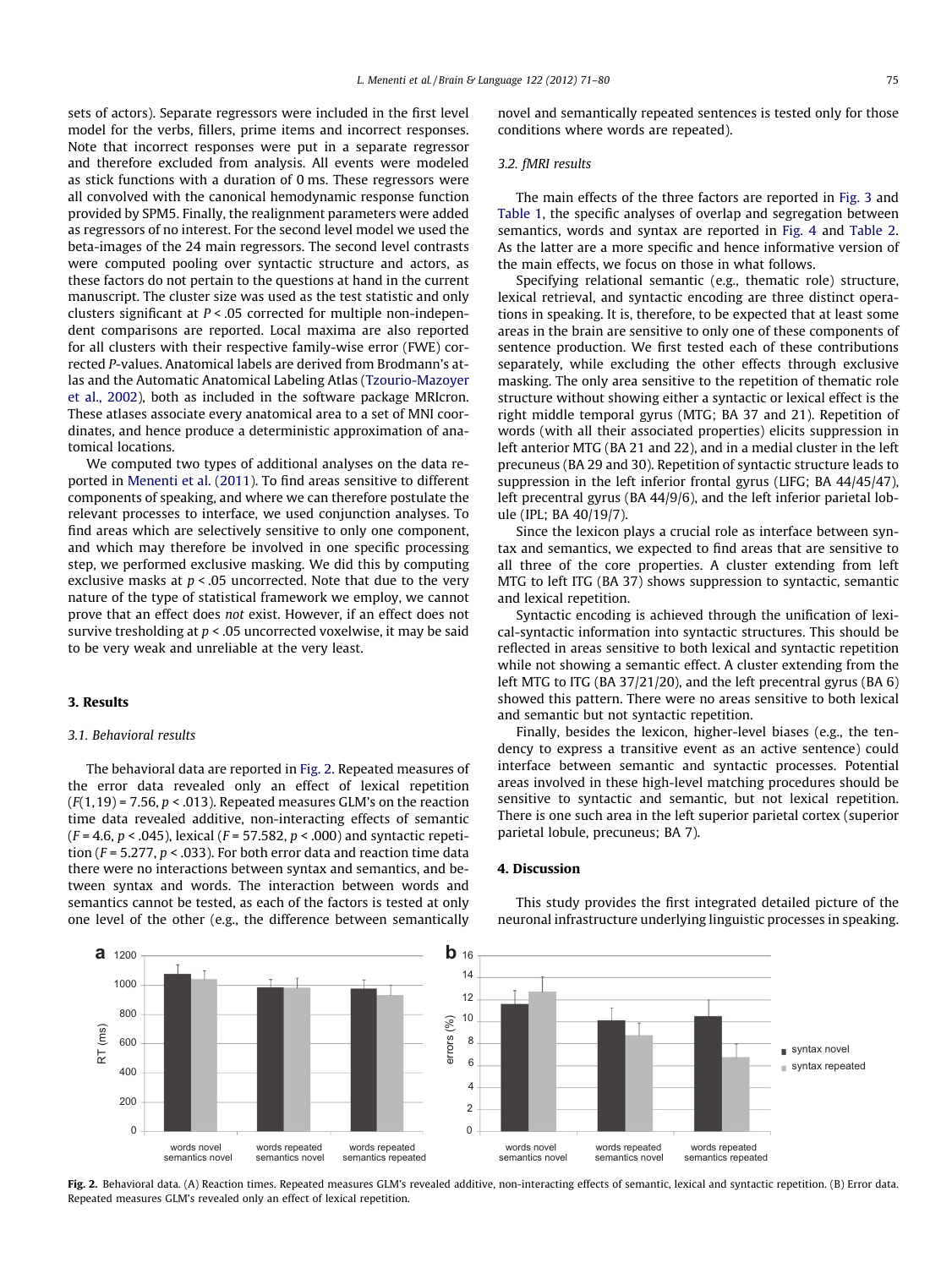sets of actors). Separate regressors were included in the first level model for the verbs, fillers, prime items and incorrect responses. Note that incorrect responses were put in a separate regressor and therefore excluded from analysis. All events were modeled as stick functions with a duration of 0 ms. These regressors were all convolved with the canonical hemodynamic response function provided by SPM5. Finally, the realignment parameters were added as regressors of no interest. For the second level model we used the beta-images of the 24 main regressors. The second level contrasts were computed pooling over syntactic structure and actors, as these factors do not pertain to the questions at hand in the current manuscript. The cluster size was used as the test statistic and only clusters significant at  $P < 0.05$  corrected for multiple non-independent comparisons are reported. Local maxima are also reported for all clusters with their respective family-wise error (FWE) corrected P-values. Anatomical labels are derived from Brodmann's atlas and the Automatic Anatomical Labeling Atlas ([Tzourio-Mazoyer](#page-9-0) [et al., 2002](#page-9-0)), both as included in the software package MRIcron. These atlases associate every anatomical area to a set of MNI coordinates, and hence produce a deterministic approximation of anatomical locations.

We computed two types of additional analyses on the data reported in [Menenti et al. \(2011\)](#page-9-0). To find areas sensitive to different components of speaking, and where we can therefore postulate the relevant processes to interface, we used conjunction analyses. To find areas which are selectively sensitive to only one component, and which may therefore be involved in one specific processing step, we performed exclusive masking. We did this by computing exclusive masks at  $p < .05$  uncorrected. Note that due to the very nature of the type of statistical framework we employ, we cannot prove that an effect does not exist. However, if an effect does not survive tresholding at  $p < 0.05$  uncorrected voxelwise, it may be said to be very weak and unreliable at the very least.

### 3. Results

#### 3.1. Behavioral results

The behavioral data are reported in Fig. 2. Repeated measures of the error data revealed only an effect of lexical repetition  $(F(1, 19) = 7.56, p < .013)$ . Repeated measures GLM's on the reaction time data revealed additive, non-interacting effects of semantic  $(F = 4.6, p < .045)$ , lexical  $(F = 57.582, p < .000)$  and syntactic repetition ( $F = 5.277$ ,  $p < .033$ ). For both error data and reaction time data there were no interactions between syntax and semantics, and between syntax and words. The interaction between words and semantics cannot be tested, as each of the factors is tested at only one level of the other (e.g., the difference between semantically novel and semantically repeated sentences is tested only for those conditions where words are repeated).

#### 3.2. fMRI results

The main effects of the three factors are reported in [Fig. 3](#page-5-0) and [Table 1](#page-6-0), the specific analyses of overlap and segregation between semantics, words and syntax are reported in [Fig. 4](#page-8-0) and [Table 2.](#page-7-0) As the latter are a more specific and hence informative version of the main effects, we focus on those in what follows.

Specifying relational semantic (e.g., thematic role) structure, lexical retrieval, and syntactic encoding are three distinct operations in speaking. It is, therefore, to be expected that at least some areas in the brain are sensitive to only one of these components of sentence production. We first tested each of these contributions separately, while excluding the other effects through exclusive masking. The only area sensitive to the repetition of thematic role structure without showing either a syntactic or lexical effect is the right middle temporal gyrus (MTG; BA 37 and 21). Repetition of words (with all their associated properties) elicits suppression in left anterior MTG (BA 21 and 22), and in a medial cluster in the left precuneus (BA 29 and 30). Repetition of syntactic structure leads to suppression in the left inferior frontal gyrus (LIFG; BA 44/45/47), left precentral gyrus (BA 44/9/6), and the left inferior parietal lobule (IPL; BA 40/19/7).

Since the lexicon plays a crucial role as interface between syntax and semantics, we expected to find areas that are sensitive to all three of the core properties. A cluster extending from left MTG to left ITG (BA 37) shows suppression to syntactic, semantic and lexical repetition.

Syntactic encoding is achieved through the unification of lexical-syntactic information into syntactic structures. This should be reflected in areas sensitive to both lexical and syntactic repetition while not showing a semantic effect. A cluster extending from the left MTG to ITG (BA 37/21/20), and the left precentral gyrus (BA 6) showed this pattern. There were no areas sensitive to both lexical and semantic but not syntactic repetition.

Finally, besides the lexicon, higher-level biases (e.g., the tendency to express a transitive event as an active sentence) could interface between semantic and syntactic processes. Potential areas involved in these high-level matching procedures should be sensitive to syntactic and semantic, but not lexical repetition. There is one such area in the left superior parietal cortex (superior parietal lobule, precuneus; BA 7).

#### 4. Discussion

This study provides the first integrated detailed picture of the neuronal infrastructure underlying linguistic processes in speaking.



Fig. 2. Behavioral data. (A) Reaction times. Repeated measures GLM's revealed additive, non-interacting effects of semantic, lexical and syntactic repetition. (B) Error data. Repeated measures GLM's revealed only an effect of lexical repetition.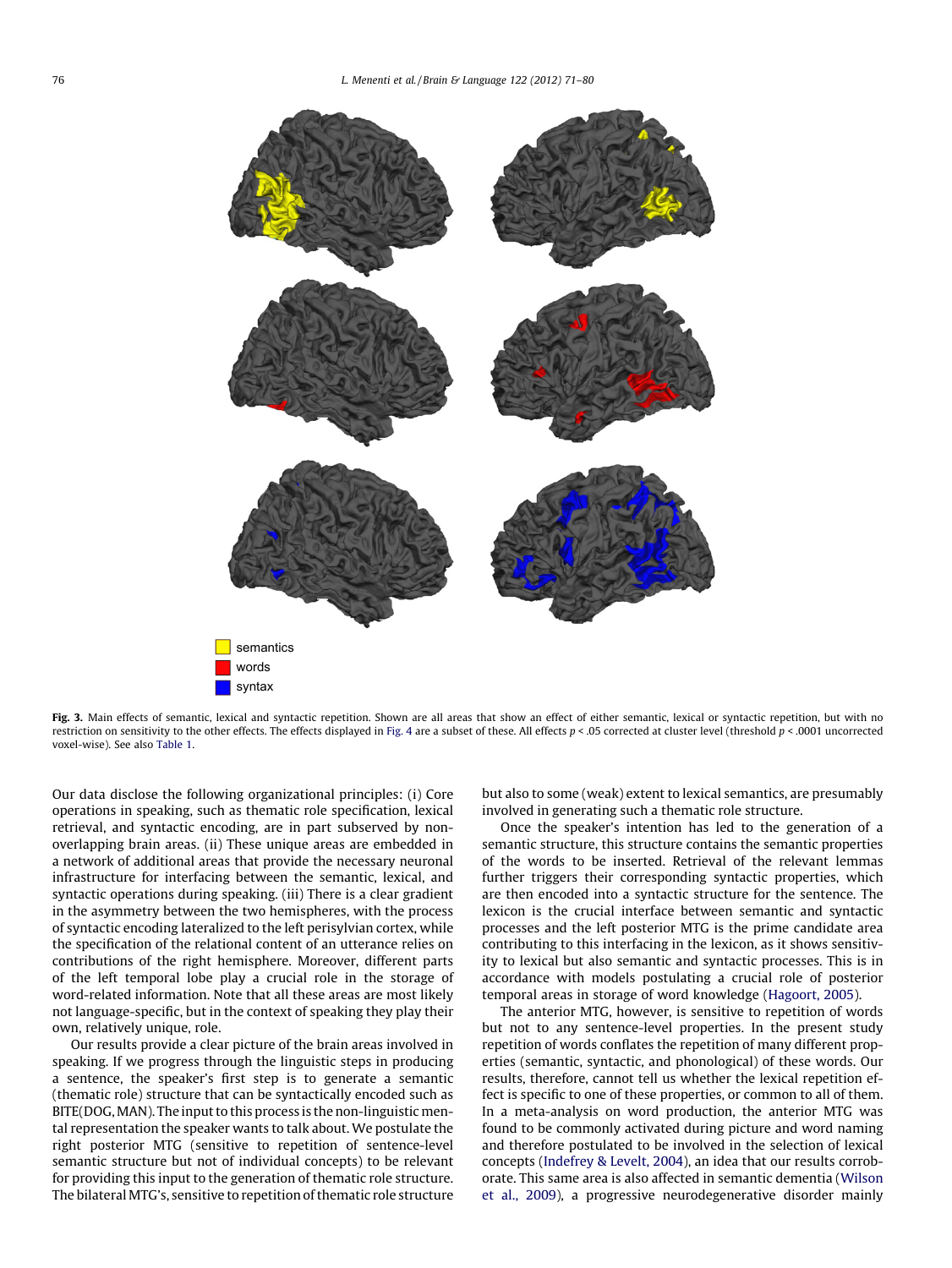<span id="page-5-0"></span>

Fig. 3. Main effects of semantic, lexical and syntactic repetition. Shown are all areas that show an effect of either semantic, lexical or syntactic repetition, but with no restriction on sensitivity to the other effects. The effects displayed in [Fig. 4](#page-8-0) are a subset of these. All effects p < .05 corrected at cluster level (threshold p < .0001 uncorrected voxel-wise). See also [Table 1](#page-6-0).

Our data disclose the following organizational principles: (i) Core operations in speaking, such as thematic role specification, lexical retrieval, and syntactic encoding, are in part subserved by nonoverlapping brain areas. (ii) These unique areas are embedded in a network of additional areas that provide the necessary neuronal infrastructure for interfacing between the semantic, lexical, and syntactic operations during speaking. (iii) There is a clear gradient in the asymmetry between the two hemispheres, with the process of syntactic encoding lateralized to the left perisylvian cortex, while the specification of the relational content of an utterance relies on contributions of the right hemisphere. Moreover, different parts of the left temporal lobe play a crucial role in the storage of word-related information. Note that all these areas are most likely not language-specific, but in the context of speaking they play their own, relatively unique, role.

Our results provide a clear picture of the brain areas involved in speaking. If we progress through the linguistic steps in producing a sentence, the speaker's first step is to generate a semantic (thematic role) structure that can be syntactically encoded such as BITE(DOG,MAN). The input to this process is the non-linguistic mental representation the speaker wants to talk about. We postulate the right posterior MTG (sensitive to repetition of sentence-level semantic structure but not of individual concepts) to be relevant for providing this input to the generation of thematic role structure. The bilateral MTG's, sensitive to repetition of thematic role structure but also to some (weak) extent to lexical semantics, are presumably involved in generating such a thematic role structure.

Once the speaker's intention has led to the generation of a semantic structure, this structure contains the semantic properties of the words to be inserted. Retrieval of the relevant lemmas further triggers their corresponding syntactic properties, which are then encoded into a syntactic structure for the sentence. The lexicon is the crucial interface between semantic and syntactic processes and the left posterior MTG is the prime candidate area contributing to this interfacing in the lexicon, as it shows sensitivity to lexical but also semantic and syntactic processes. This is in accordance with models postulating a crucial role of posterior temporal areas in storage of word knowledge ([Hagoort, 2005\)](#page-9-0).

The anterior MTG, however, is sensitive to repetition of words but not to any sentence-level properties. In the present study repetition of words conflates the repetition of many different properties (semantic, syntactic, and phonological) of these words. Our results, therefore, cannot tell us whether the lexical repetition effect is specific to one of these properties, or common to all of them. In a meta-analysis on word production, the anterior MTG was found to be commonly activated during picture and word naming and therefore postulated to be involved in the selection of lexical concepts [\(Indefrey & Levelt, 2004\)](#page-9-0), an idea that our results corroborate. This same area is also affected in semantic dementia [\(Wilson](#page-9-0) [et al., 2009](#page-9-0)), a progressive neurodegenerative disorder mainly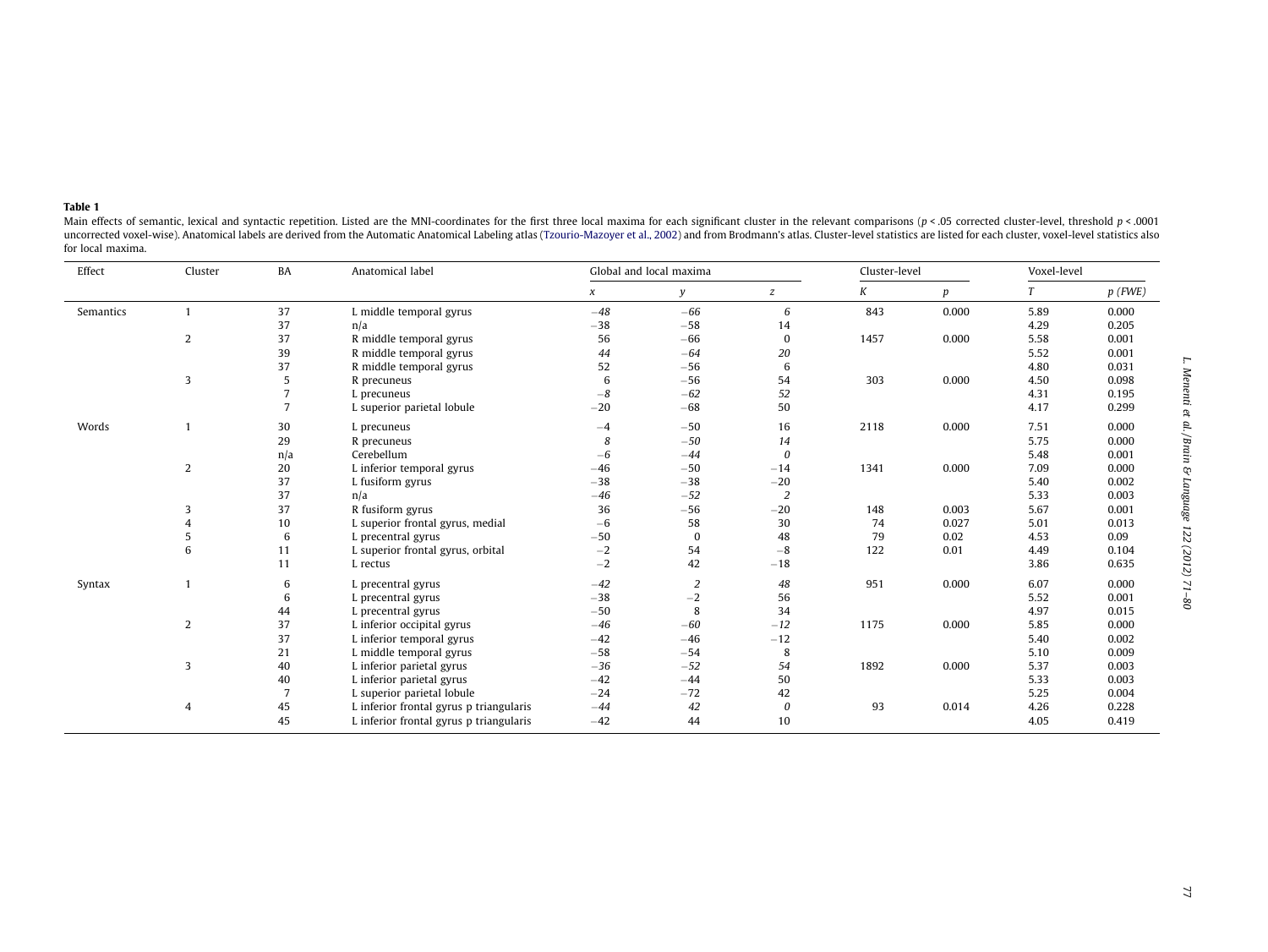#### <span id="page-6-0"></span>Table 1

Main effects of semantic, lexical and syntactic repetition. Listed are the MNI-coordinates for the first three local maxima for each significant cluster in the relevant comparisons (p < .05 corrected cluster-level, thresho uncorrected voxel-wise). Anatomical labels are derived from the Automatic Anatomical Labeling atlas ([Tzourio-Mazoyer](#page-9-0) et al., 2002) and from Brodmann's atlas. Cluster-level statistics are listed for each cluster, voxel-leve for local maxima.

| Effect    | Cluster        | BA             | Anatomical label                        | Global and local maxima |                |                  | Cluster-level |       | Voxel-level |           |
|-----------|----------------|----------------|-----------------------------------------|-------------------------|----------------|------------------|---------------|-------|-------------|-----------|
|           |                |                |                                         | x                       | y              | $\boldsymbol{z}$ | K             | p     | T           | $p$ (FWE) |
| Semantics | $\mathbf{1}$   | 37             | L middle temporal gyrus                 | $-48$                   | $-66$          | 6                | 843           | 0.000 | 5.89        | 0.000     |
|           |                | 37             | n/a                                     | $-38$                   | $-58$          | 14               |               |       | 4.29        | 0.205     |
|           | 2              | 37             | R middle temporal gyrus                 | 56                      | $-66$          | $\mathbf{0}$     | 1457          | 0.000 | 5.58        | 0.001     |
|           |                | 39             | R middle temporal gyrus                 | 44                      | $-64$          | 20               |               |       | 5.52        | 0.001     |
|           |                | 37             | R middle temporal gyrus                 | 52                      | $-56$          | 6                |               |       | 4.80        | 0.031     |
|           | 3              | 5              | R precuneus                             | 6                       | $-56$          | 54               | 303           | 0.000 | 4.50        | 0.098     |
|           |                |                | L precuneus                             | $-8$                    | $-62$          | 52               |               |       | 4.31        | 0.195     |
|           |                | $\overline{7}$ | L superior parietal lobule              | $-20$                   | $-68$          | 50               |               |       | 4.17        | 0.299     |
| Words     |                | 30             | L precuneus                             | $-4$                    | $-50$          | 16               | 2118          | 0.000 | 7.51        | 0.000     |
|           |                | 29             | R precuneus                             | 8                       | $-50$          | 14               |               |       | 5.75        | 0.000     |
|           |                | n/a            | Cerebellum                              | -6                      | $-44$          | $\theta$         |               |       | 5.48        | 0.001     |
|           | $\overline{2}$ | 20             | L inferior temporal gyrus               | $-46$                   | $-50$          | $-14$            | 1341          | 0.000 | 7.09        | 0.000     |
|           |                | 37             | L fusiform gyrus                        | $-38$                   | $-38$          | $-20$            |               |       | 5.40        | 0.002     |
|           |                | 37             | n/a                                     | $-46$                   | $-52$          | $\overline{2}$   |               |       | 5.33        | 0.003     |
|           | 3              | 37             | R fusiform gyrus                        | 36                      | $-56$          | $-20$            | 148           | 0.003 | 5.67        | 0.001     |
|           | $\overline{4}$ | 10             | L superior frontal gyrus, medial        | $-6$                    | 58             | 30               | 74            | 0.027 | 5.01        | 0.013     |
|           | 5              | 6              | L precentral gyrus                      | $-50$                   | $\Omega$       | 48               | 79            | 0.02  | 4.53        | 0.09      |
|           | 6              | 11             | L superior frontal gyrus, orbital       | $-2$                    | 54             | $-8$             | 122           | 0.01  | 4.49        | 0.104     |
|           |                | 11             | L rectus                                | $-2$                    | 42             | $-18$            |               |       | 3.86        | 0.635     |
| Syntax    |                | 6              | L precentral gyrus                      | $-42$                   | $\overline{2}$ | 48               | 951           | 0.000 | 6.07        | 0.000     |
|           |                | 6              | L precentral gyrus                      | $-38$                   | $-2$           | 56               |               |       | 5.52        | 0.001     |
|           |                | 44             | L precentral gyrus                      | $-50$                   | 8              | 34               |               |       | 4.97        | 0.015     |
|           | 2              | 37             | L inferior occipital gyrus              | $-46$                   | $-60$          | $-12$            | 1175          | 0.000 | 5.85        | 0.000     |
|           |                | 37             | L inferior temporal gyrus               | $-42$                   | $-46$          | $-12$            |               |       | 5.40        | 0.002     |
|           |                | 21             | L middle temporal gyrus                 | $-58$                   | $-54$          | 8                |               |       | 5.10        | 0.009     |
|           | 3              | 40             | L inferior parietal gyrus               | $-36$                   | $-52$          | 54               | 1892          | 0.000 | 5.37        | 0.003     |
|           |                | 40             | L inferior parietal gyrus               | $-42$                   | $-44$          | 50               |               |       | 5.33        | 0.003     |
|           |                | 7              | L superior parietal lobule              | $-24$                   | $-72$          | 42               |               |       | 5.25        | 0.004     |
|           | 4              | 45             | L inferior frontal gyrus p triangularis | $-44$                   | 42             | $\boldsymbol{0}$ | 93            | 0.014 | 4.26        | 0.228     |
|           |                | 45             | L inferior frontal gyrus p triangularis | $-42$                   | 44             | 10               |               |       | 4.05        | 0.419     |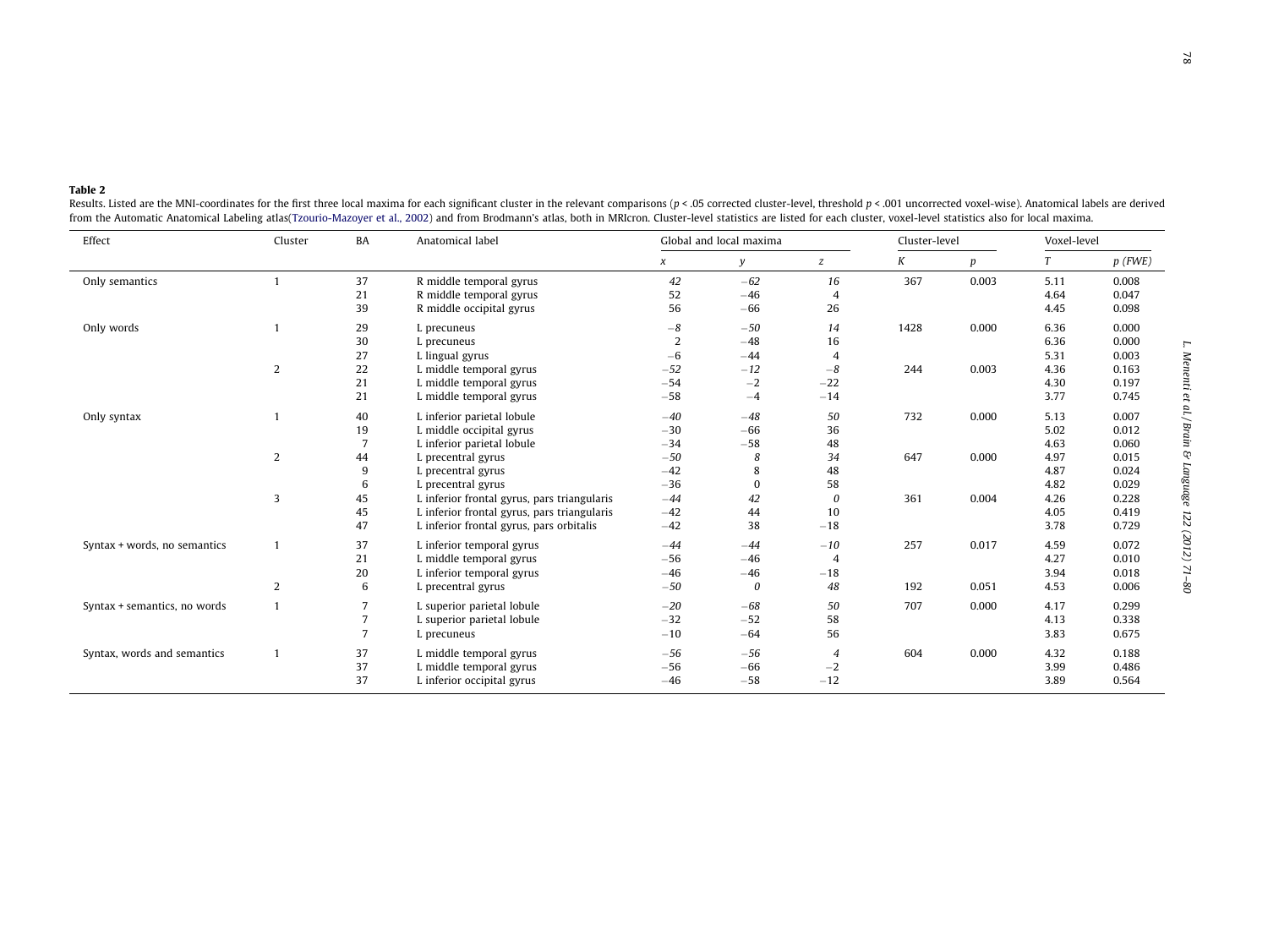Effect **Cluster** BA Anatomical label Global and local maxima Cluster-level Voxel-level <sup>x</sup> y <sup>z</sup> K p T p (FWE) Only semantics 21 5.11 37 R middle temporal gyrus 42  $-62$  16 367 0.003 5.11 0.008<br>21 R middle temporal gyrus 52 -46 4 4.64 0.047 21 R middle temporal gyrus 52 -46 4.64 39 R middle occipital gyrus 56 66 26 4.45 0.098 Only words 1 29 L precuneus *—50 14* 1428 0.000 6.36 0.000 30 L precuneus 2 48 16 6.36 0.000 27 L lingual gyrus 6 6 44 4 4 5.31 0.003 2 22 L middle temporal gyrus  $-52$   $-12$   $-8$  244 0.003 4.36 0.163 21 L middle temporal gyrus  $-54$   $-2$   $-22$   $-22$   $-4.30$  0.197 21 L middle temporal gyrus  $-58$   $-4$   $-14$   $-14$   $-3.77$  0.745 Only syntax 1 1 40 L inferior parietal lobule  $-40$   $-48$  50 732 0.000 5.13 0.007<br>19 L middle occipital gyrus  $-30$   $-66$  36 732 0.000 5.02 0.012  $L$  middle occipital gyrus 7 L inferior parietal lobule 34 58 48 4.63 0.060 2 44 L precentral gyrus 50 8 34 647 0.000 4.97 0.015 9 L precentral gyrus 18 42 8 48 48 487 0.024 48 487 4.87 6 L precentral gyrus 10029 136 10029 136 10029 136 1361 10029 14.82 1362 14.82 1362<br>
45 L inferior frontal gyrus, pars triangularis 142 14 142 1362 14.26 1361 14.26 136228 3 45 L inferior frontal gyrus, pars triangularis  $-44$  42 0 361 0.004 4.26 45 L inferior frontal gyrus, pars triangularis  $-42$  44 10  $-42$  4.05 0.419 47 L inferior frontal gyrus, pars orbitalis  $-42$  38  $-18$  3.78 3.78 0.729  $Syntax + words, no semantics$  1 37 L inferior temporal gyrus  $-44$   $-44$   $-10$  257 0.017 4.59 0.072 21 L middle temporal gyrus 56 - 46 4.27 4.27 0.010  $20$  L inferior temporal gyrus  $-46$   $-46$   $-18$   $-18$   $-18$   $-18$   $-18$   $-18$   $-18$   $-18$   $-18$   $-18$   $-18$   $-18$   $-18$   $-18$   $-18$   $-18$   $-18$   $-18$   $-18$   $-18$   $-18$   $-18$   $-18$   $-18$   $-18$   $-18$   $-18$   $-18$   $-18$   $-18$ 2 6 L precentral gyrus  $-50$  0 48 192 0.051 4.53 0.006  $Syntax + semantics, no words$  1 7 L superior parietal lobule  $-20$   $-68$  50 707 0.000 4.17 0.299 7 L superior parietal lobule 32 52 58 4.13 0.338 7 L precuneus 10 56 56 56 3.83 0.675 م - 10 56 4 56 3.83 a  $0.675$ Syntax, words and semantics  $1$  37 L middle temporal gyrus  $-56$   $-56$   $-56$   $4$  604 0.000 4.32 0.188  $37$  L middle temporal gyrus  $-56$   $-66$   $-2$   $-3.99$  0.486  $37$  L inferior occipital gyrus  $-46$   $-58$   $-12$   $-12$   $3.89$   $0.564$ 

<span id="page-7-0"></span>Results. Listed are the MNI-coordinates for the first three local maxima for each significant cluster in the relevant comparisons ( $p < .05$  corrected cluster-level, threshold  $p < .001$  uncorrected voxel-wise). Anatomical la from the Automatic Anatomical Labeling atlas([Tzourio-Mazoyer](#page-9-0) et al., 2002) and from Brodmann's atlas, both in MRIcron. Cluster-level statistics are listed for each cluster, voxel-level statistics also for local maxima.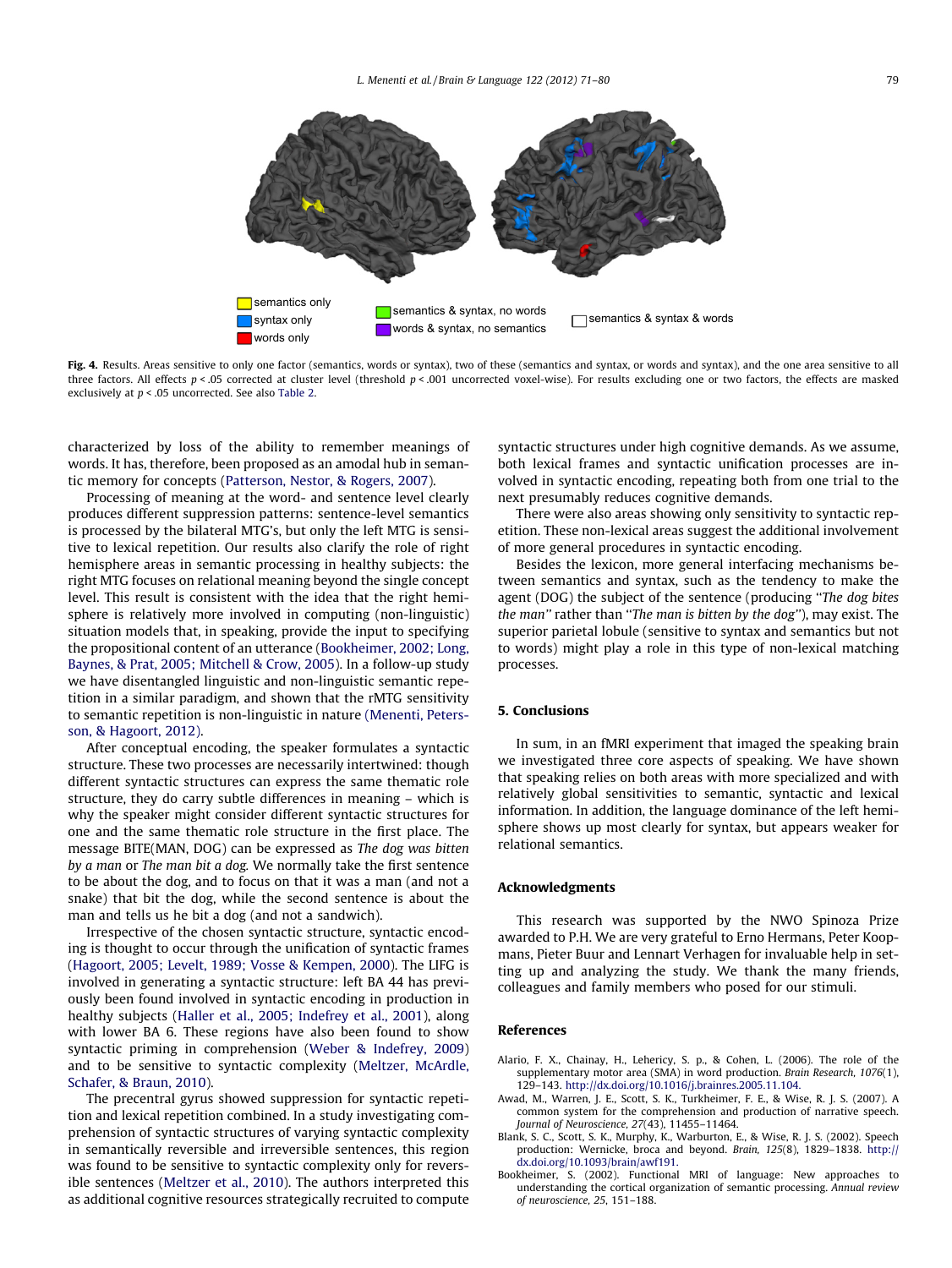<span id="page-8-0"></span>

Fig. 4. Results. Areas sensitive to only one factor (semantics, words or syntax), two of these (semantics and syntax, or words and syntax), and the one area sensitive to all three factors. All effects p < .05 corrected at cluster level (threshold p < .001 uncorrected voxel-wise). For results excluding one or two factors, the effects are masked exclusively at  $p < .05$  uncorrected. See also [Table 2.](#page-7-0)

characterized by loss of the ability to remember meanings of words. It has, therefore, been proposed as an amodal hub in semantic memory for concepts [\(Patterson, Nestor, & Rogers, 2007](#page-9-0)).

Processing of meaning at the word- and sentence level clearly produces different suppression patterns: sentence-level semantics is processed by the bilateral MTG's, but only the left MTG is sensitive to lexical repetition. Our results also clarify the role of right hemisphere areas in semantic processing in healthy subjects: the right MTG focuses on relational meaning beyond the single concept level. This result is consistent with the idea that the right hemisphere is relatively more involved in computing (non-linguistic) situation models that, in speaking, provide the input to specifying the propositional content of an utterance (Bookheimer, 2002; Long, Baynes, & Prat, 2005; Mitchell & Crow, 2005). In a follow-up study we have disentangled linguistic and non-linguistic semantic repetition in a similar paradigm, and shown that the rMTG sensitivity to semantic repetition is non-linguistic in nature [\(Menenti, Peters](#page-9-0)[son, & Hagoort, 2012\)](#page-9-0).

After conceptual encoding, the speaker formulates a syntactic structure. These two processes are necessarily intertwined: though different syntactic structures can express the same thematic role structure, they do carry subtle differences in meaning – which is why the speaker might consider different syntactic structures for one and the same thematic role structure in the first place. The message BITE(MAN, DOG) can be expressed as The dog was bitten by a man or The man bit a dog. We normally take the first sentence to be about the dog, and to focus on that it was a man (and not a snake) that bit the dog, while the second sentence is about the man and tells us he bit a dog (and not a sandwich).

Irrespective of the chosen syntactic structure, syntactic encoding is thought to occur through the unification of syntactic frames ([Hagoort, 2005; Levelt, 1989; Vosse & Kempen, 2000](#page-9-0)). The LIFG is involved in generating a syntactic structure: left BA 44 has previously been found involved in syntactic encoding in production in healthy subjects [\(Haller et al., 2005; Indefrey et al., 2001\)](#page-9-0), along with lower BA 6. These regions have also been found to show syntactic priming in comprehension ([Weber & Indefrey, 2009\)](#page-9-0) and to be sensitive to syntactic complexity [\(Meltzer, McArdle,](#page-9-0) [Schafer, & Braun, 2010\)](#page-9-0).

The precentral gyrus showed suppression for syntactic repetition and lexical repetition combined. In a study investigating comprehension of syntactic structures of varying syntactic complexity in semantically reversible and irreversible sentences, this region was found to be sensitive to syntactic complexity only for reversible sentences [\(Meltzer et al., 2010](#page-9-0)). The authors interpreted this as additional cognitive resources strategically recruited to compute syntactic structures under high cognitive demands. As we assume, both lexical frames and syntactic unification processes are involved in syntactic encoding, repeating both from one trial to the next presumably reduces cognitive demands.

There were also areas showing only sensitivity to syntactic repetition. These non-lexical areas suggest the additional involvement of more general procedures in syntactic encoding.

Besides the lexicon, more general interfacing mechanisms between semantics and syntax, such as the tendency to make the agent (DOG) the subject of the sentence (producing ''The dog bites the man'' rather than ''The man is bitten by the dog''), may exist. The superior parietal lobule (sensitive to syntax and semantics but not to words) might play a role in this type of non-lexical matching processes.

# 5. Conclusions

In sum, in an fMRI experiment that imaged the speaking brain we investigated three core aspects of speaking. We have shown that speaking relies on both areas with more specialized and with relatively global sensitivities to semantic, syntactic and lexical information. In addition, the language dominance of the left hemisphere shows up most clearly for syntax, but appears weaker for relational semantics.

#### Acknowledgments

This research was supported by the NWO Spinoza Prize awarded to P.H. We are very grateful to Erno Hermans, Peter Koopmans, Pieter Buur and Lennart Verhagen for invaluable help in setting up and analyzing the study. We thank the many friends, colleagues and family members who posed for our stimuli.

#### References

- Alario, F. X., Chainay, H., Lehericy, S. p., & Cohen, L. (2006). The role of the supplementary motor area (SMA) in word production. Brain Research, 1076(1), 129–143. http://dx.doi.org/[10.1016/j.brainres.2005.11.104.](http://dx.doi.org/10.1016/j.brainres.2005.11.104)
- Awad, M., Warren, J. E., Scott, S. K., Turkheimer, F. E., & Wise, R. J. S. (2007). A common system for the comprehension and production of narrative speech. Journal of Neuroscience, 27(43), 11455–11464.
- Blank, S. C., Scott, S. K., Murphy, K., Warburton, E., & Wise, R. J. S. (2002). Speech production: Wernicke, broca and beyond. Brain, 125(8), 1829–1838. http:// dx.doi.org/[10.1093/brain/awf191.](http://dx.doi.org/10.1093/brain/awf191)
- Bookheimer, S. (2002). Functional MRI of language: New approaches to understanding the cortical organization of semantic processing. Annual review of neuroscience, 25, 151–188.